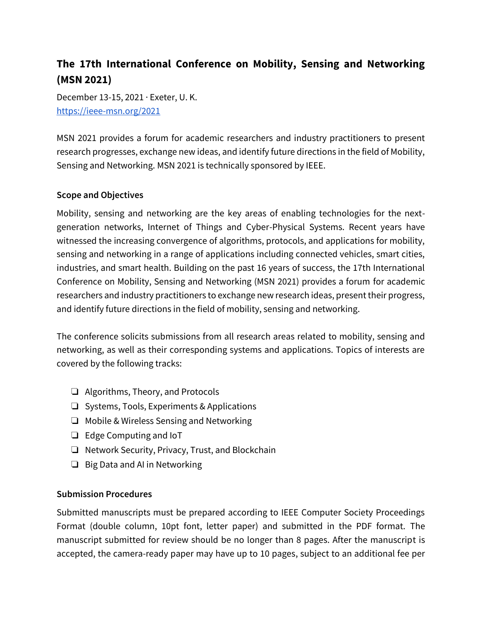## **The 17th International Conference on Mobility, Sensing and Networking (MSN 2021)**

December 13-15, 2021 · Exeter, U. K. <https://ieee-msn.org/2021>

MSN 2021 provides a forum for academic researchers and industry practitioners to present research progresses, exchange new ideas, and identify future directions in the field of Mobility, Sensing and Networking. MSN 2021 is technically sponsored by IEEE.

## **Scope and Objectives**

Mobility, sensing and networking are the key areas of enabling technologies for the nextgeneration networks, Internet of Things and Cyber-Physical Systems. Recent years have witnessed the increasing convergence of algorithms, protocols, and applications for mobility, sensing and networking in a range of applications including connected vehicles, smart cities, industries, and smart health. Building on the past 16 years of success, the 17th International Conference on Mobility, Sensing and Networking (MSN 2021) provides a forum for academic researchers and industry practitioners to exchange new research ideas, present their progress, and identify future directions in the field of mobility, sensing and networking.

The conference solicits submissions from all research areas related to mobility, sensing and networking, as well as their corresponding systems and applications. Topics of interests are covered by the following tracks:

- ❏ Algorithms, Theory, and Protocols
- ❏ Systems, Tools, Experiments & Applications
- ❏ Mobile & Wireless Sensing and Networking
- ❏ Edge Computing and IoT
- ❏ Network Security, Privacy, Trust, and Blockchain
- ❏ Big Data and AI in Networking

## **Submission Procedures**

Submitted manuscripts must be prepared according to IEEE Computer Society Proceedings Format (double column, 10pt font, letter paper) and submitted in the PDF format. The manuscript submitted for review should be no longer than 8 pages. After the manuscript is accepted, the camera-ready paper may have up to 10 pages, subject to an additional fee per